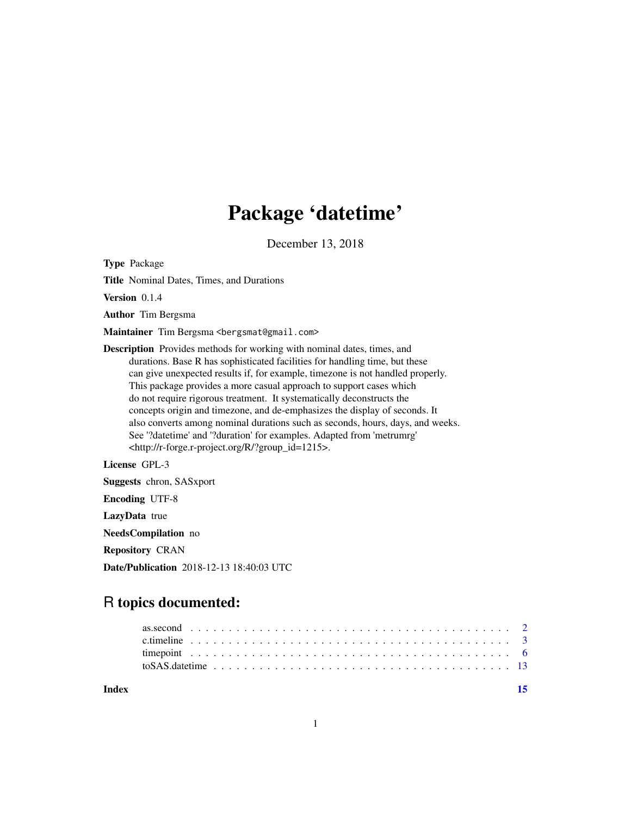## Package 'datetime'

December 13, 2018

<span id="page-0-0"></span>Type Package

Title Nominal Dates, Times, and Durations

Version 0.1.4

Author Tim Bergsma

Maintainer Tim Bergsma <br/>bergsmat@gmail.com>

Description Provides methods for working with nominal dates, times, and durations. Base R has sophisticated facilities for handling time, but these can give unexpected results if, for example, timezone is not handled properly. This package provides a more casual approach to support cases which do not require rigorous treatment. It systematically deconstructs the concepts origin and timezone, and de-emphasizes the display of seconds. It also converts among nominal durations such as seconds, hours, days, and weeks. See '?datetime' and '?duration' for examples. Adapted from 'metrumrg' <http://r-forge.r-project.org/R/?group\_id=1215>.

License GPL-3

Suggests chron, SASxport

Encoding UTF-8

LazyData true

NeedsCompilation no

Repository CRAN

Date/Publication 2018-12-13 18:40:03 UTC

### R topics documented:

| to SAS. date time $\ldots \ldots \ldots \ldots \ldots \ldots \ldots \ldots \ldots \ldots \ldots \ldots \ldots$ |  |
|----------------------------------------------------------------------------------------------------------------|--|
|                                                                                                                |  |

**Index** [15](#page-14-0)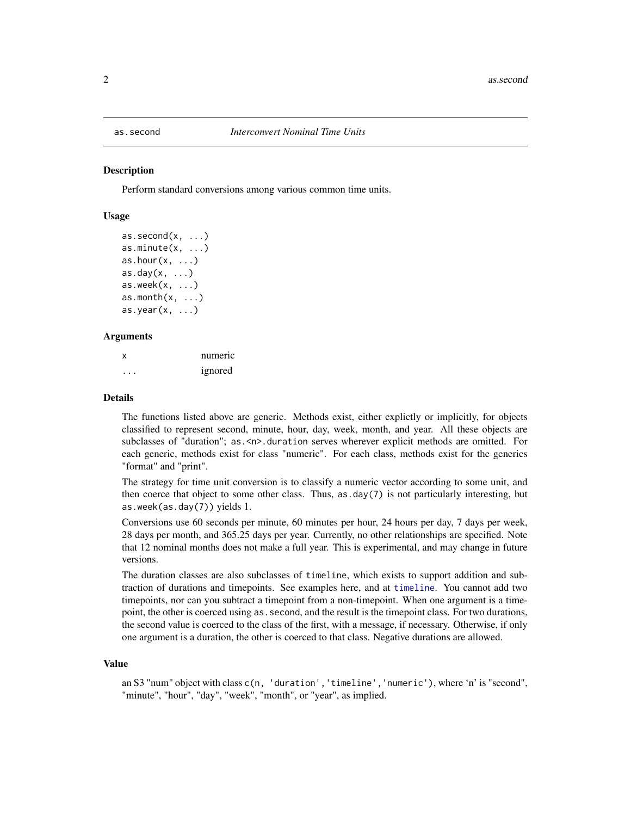<span id="page-1-0"></span>

#### <span id="page-1-1"></span>Description

Perform standard conversions among various common time units.

#### Usage

```
as. second(x, \ldots)as.minute(x, \ldots)as.hour(x, \ldots)as.day(x, \ldots)as. week(x, \ldots)as.month(x, \ldots)as.year(x, \ldots)
```
#### Arguments

x numeric ... ignored

#### Details

The functions listed above are generic. Methods exist, either explictly or implicitly, for objects classified to represent second, minute, hour, day, week, month, and year. All these objects are subclasses of "duration"; as.<n>.duration serves wherever explicit methods are omitted. For each generic, methods exist for class "numeric". For each class, methods exist for the generics "format" and "print".

The strategy for time unit conversion is to classify a numeric vector according to some unit, and then coerce that object to some other class. Thus,  $as.day(7)$  is not particularly interesting, but as.week(as.day(7)) yields 1.

Conversions use 60 seconds per minute, 60 minutes per hour, 24 hours per day, 7 days per week, 28 days per month, and 365.25 days per year. Currently, no other relationships are specified. Note that 12 nominal months does not make a full year. This is experimental, and may change in future versions.

The duration classes are also subclasses of timeline, which exists to support addition and subtraction of durations and timepoints. See examples here, and at [timeline](#page-5-1). You cannot add two timepoints, nor can you subtract a timepoint from a non-timepoint. When one argument is a timepoint, the other is coerced using as . second, and the result is the timepoint class. For two durations, the second value is coerced to the class of the first, with a message, if necessary. Otherwise, if only one argument is a duration, the other is coerced to that class. Negative durations are allowed.

#### Value

an S3 "num" object with class c(n, 'duration','timeline','numeric'), where 'n' is "second", "minute", "hour", "day", "week", "month", or "year", as implied.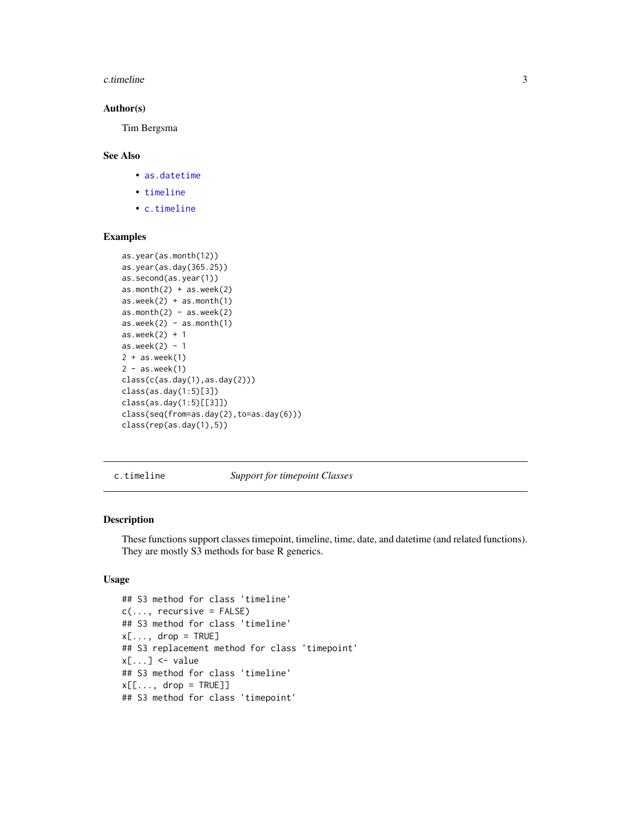#### <span id="page-2-0"></span>c.timeline 3

#### Author(s)

Tim Bergsma

#### See Also

- [as.datetime](#page-5-1)
- [timeline](#page-5-1)
- [c.timeline](#page-2-1)

#### Examples

```
as.year(as.month(12))
as.year(as.day(365.25))
as.second(as.year(1))
as.month(2) + as.week(2)as.week(2) + as.month(1)as.month(2) - as.week(2)as. week(2) - as. month(1)as.week(2) + 1as.week(2) - 12 + as.week(1)
2 - as.week(1)class(c(as.day(1),as.day(2)))
class(as.day(1:5)[3])
class(as.day(1:5)[[3]])
class(seq(from=as.day(2),to=as.day(6)))
class(rep(as.day(1),5))
```
<span id="page-2-1"></span>c.timeline *Support for timepoint Classes*

#### Description

These functions support classes timepoint, timeline, time, date, and datetime (and related functions). They are mostly S3 methods for base R generics.

#### Usage

```
## S3 method for class 'timeline'
c(\ldots, recursive = FALSE)
## S3 method for class 'timeline'
x[\ldots, drop = TRUE]## S3 replacement method for class 'timepoint'
x[\ldots] \leq value
## S3 method for class 'timeline'
x[[..., drop = TRUE]]## S3 method for class 'timepoint'
```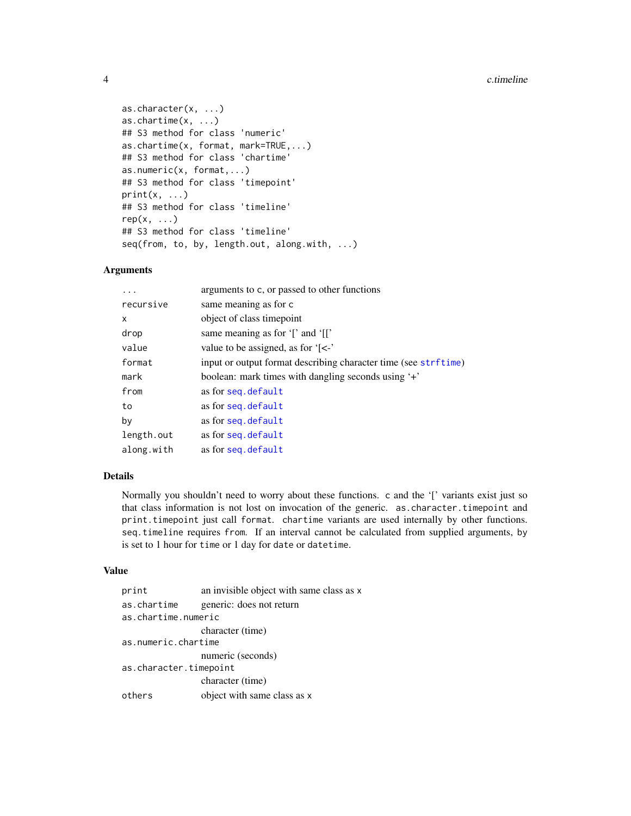```
as.character(x, ...)
as.chartime(x, ...)
## S3 method for class 'numeric'
as.chartime(x, format, mark=TRUE,...)
## S3 method for class 'chartime'
as.numeric(x, format,...)
## S3 method for class 'timepoint'
print(x, \ldots)## S3 method for class 'timeline'
rep(x, \ldots)## S3 method for class 'timeline'
seq(from, to, by, length.out, along.with, ...)
```
#### Arguments

| $\ddots$   | arguments to c, or passed to other functions                    |
|------------|-----------------------------------------------------------------|
| recursive  | same meaning as for c                                           |
| X          | object of class timepoint                                       |
| drop       | same meaning as for '[' and '[['                                |
| value      | value to be assigned, as for $\zeta$ -                          |
| format     | input or output format describing character time (see strftime) |
| mark       | boolean: mark times with dangling seconds using '+'             |
| from       | as for seq. default                                             |
| to         | as for seq. default                                             |
| by         | as for seq. default                                             |
| length.out | as for seq. default                                             |
| along.with | as for seg. default                                             |

#### Details

Normally you shouldn't need to worry about these functions. c and the '[' variants exist just so that class information is not lost on invocation of the generic. as.character.timepoint and print.timepoint just call format. chartime variants are used internally by other functions. seq.timeline requires from. If an interval cannot be calculated from supplied arguments, by is set to 1 hour for time or 1 day for date or datetime.

#### Value

| print                  | an invisible object with same class as x |  |  |  |  |
|------------------------|------------------------------------------|--|--|--|--|
| as.chartime            | generic: does not return                 |  |  |  |  |
| as.chartime.numeric    |                                          |  |  |  |  |
|                        | character (time)                         |  |  |  |  |
| as.numeric.chartime    |                                          |  |  |  |  |
|                        | numeric (seconds)                        |  |  |  |  |
| as.character.timepoint |                                          |  |  |  |  |
|                        | character (time)                         |  |  |  |  |
| others                 | object with same class as x              |  |  |  |  |

<span id="page-3-0"></span>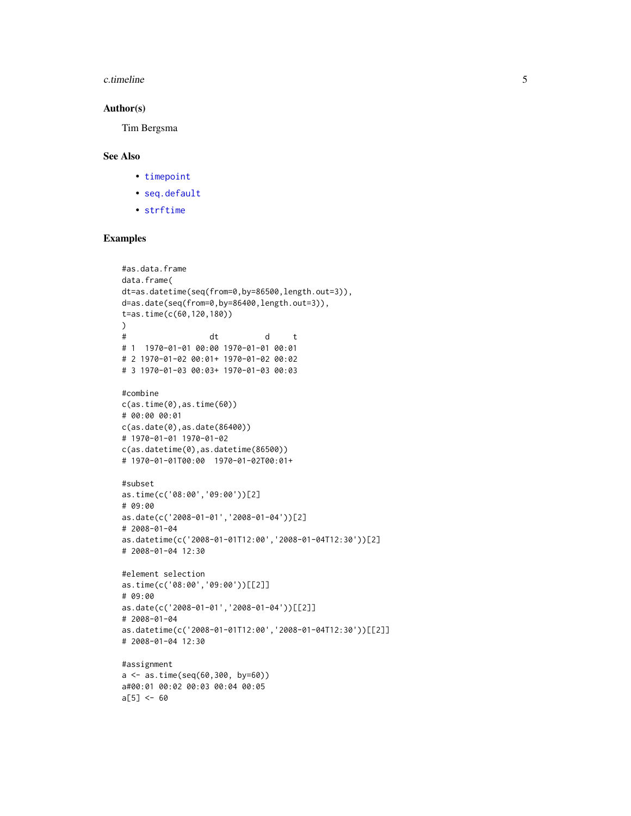#### <span id="page-4-0"></span>c.timeline 5

#### Author(s)

Tim Bergsma

#### See Also

- [timepoint](#page-5-2)
- [seq.default](#page-0-0)
- [strftime](#page-0-0)

#### Examples

```
#as.data.frame
data.frame(
dt=as.datetime(seq(from=0,by=86500,length.out=3)),
d=as.date(seq(from=0,by=86400,length.out=3)),
t=as.time(c(60,120,180))
)
# dt d t
# 1 1970-01-01 00:00 1970-01-01 00:01
# 2 1970-01-02 00:01+ 1970-01-02 00:02
# 3 1970-01-03 00:03+ 1970-01-03 00:03
#combine
c(as.time(0), as.time(60))# 00:00 00:01
c(as.date(0),as.date(86400))
# 1970-01-01 1970-01-02
c(as.datetime(0),as.datetime(86500))
# 1970-01-01T00:00 1970-01-02T00:01+
#subset
as.time(c('08:00','09:00'))[2]
# 09:00
as.date(c('2008-01-01','2008-01-04'))[2]
# 2008-01-04
as.datetime(c('2008-01-01T12:00','2008-01-04T12:30'))[2]
# 2008-01-04 12:30
#element selection
as.time(c('08:00','09:00'))[[2]]
# 09:00
as.date(c('2008-01-01','2008-01-04'))[[2]]
# 2008-01-04
as.datetime(c('2008-01-01T12:00','2008-01-04T12:30'))[[2]]
# 2008-01-04 12:30
#assignment
a <- as.time(seq(60,300, by=60))
a#00:01 00:02 00:03 00:04 00:05
```
 $a[5] < -60$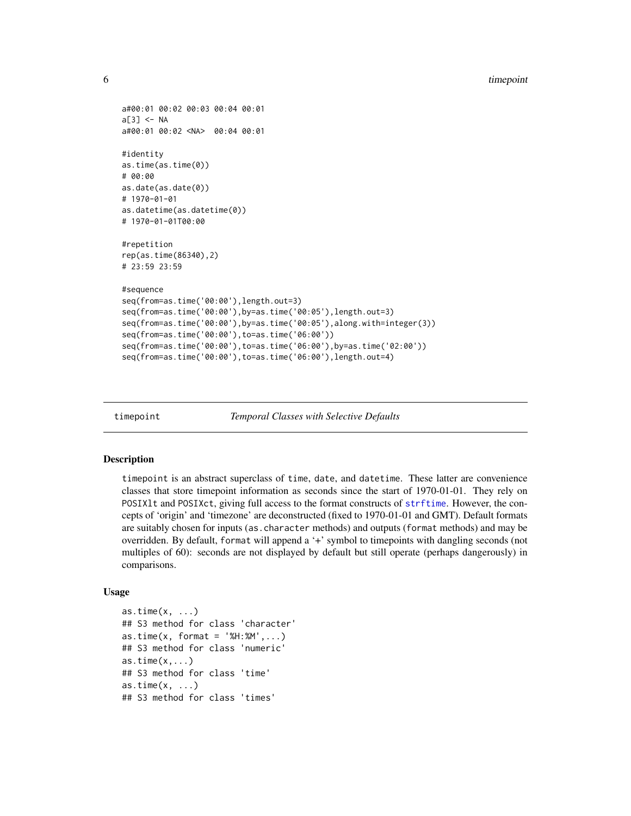```
a#00:01 00:02 00:03 00:04 00:01
a[3] <- NA
a#00:01 00:02 <NA> 00:04 00:01
#identity
as.time(as.time(0))
# 00:00
as.date(as.date(0))
# 1970-01-01
as.datetime(as.datetime(0))
# 1970-01-01T00:00
#repetition
rep(as.time(86340),2)
# 23:59 23:59
#sequence
seq(from=as.time('00:00'),length.out=3)
seq(from=as.time('00:00'),by=as.time('00:05'),length.out=3)
seq(from=as.time('00:00'),by=as.time('00:05'),along.with=integer(3))
seq(from=as.time('00:00'),to=as.time('06:00'))
seq(from=as.time('00:00'),to=as.time('06:00'),by=as.time('02:00'))
seq(from=as.time('00:00'),to=as.time('06:00'),length.out=4)
```
<span id="page-5-2"></span>timepoint *Temporal Classes with Selective Defaults*

#### <span id="page-5-1"></span>Description

timepoint is an abstract superclass of time, date, and datetime. These latter are convenience classes that store timepoint information as seconds since the start of 1970-01-01. They rely on POSIXlt and POSIXct, giving full access to the format constructs of [strftime](#page-0-0). However, the concepts of 'origin' and 'timezone' are deconstructed (fixed to 1970-01-01 and GMT). Default formats are suitably chosen for inputs (as.character methods) and outputs (format methods) and may be overridden. By default, format will append a '+' symbol to timepoints with dangling seconds (not multiples of 60): seconds are not displayed by default but still operate (perhaps dangerously) in comparisons.

#### Usage

as.time $(x, \ldots)$ ## S3 method for class 'character'  $as.time(x, format = '%H:%M',...)$ ## S3 method for class 'numeric'  $as.time(x,...)$ ## S3 method for class 'time'  $as.time(x, \ldots)$ ## S3 method for class 'times'

<span id="page-5-0"></span>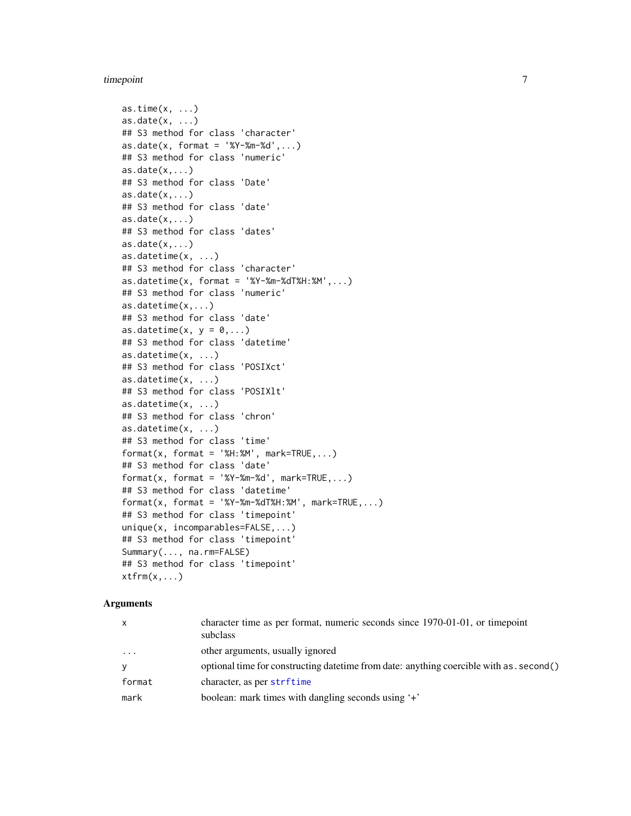#### <span id="page-6-0"></span>timepoint 7

```
as.time(x, ...)as.data(x, ...)## S3 method for class 'character'
as.data(x, format = '%Y-%m-%d',...)## S3 method for class 'numeric'
as.data(x,...)## S3 method for class 'Date'
as.data(x,...)## S3 method for class 'date'
as.data(x,...)## S3 method for class 'dates'
as.data(x,...)as.datetime(x, ...)
## S3 method for class 'character'
as.datetime(x, format = 'XY-Xm-XdTXH:'M',...)## S3 method for class 'numeric'
as.datetime(x,...)
## S3 method for class 'date'
as.datetime(x, y = 0,...)## S3 method for class 'datetime'
as.datetime(x, ...)
## S3 method for class 'POSIXct'
as.datetime(x, ...)
## S3 method for class 'POSIXlt'
as.datetime(x, ...)
## S3 method for class 'chron'
as.datetime(x, ...)
## S3 method for class 'time'
format(x, format = 'M:MM', mark=True,...)## S3 method for class 'date'
format(x, format = '%Y-Sm-Sd', mark=True,...)## S3 method for class 'datetime'
format(x, format = 'XY-Xm-XdTXH:'M', mark=True, ...)## S3 method for class 'timepoint'
unique(x, incomparables=FALSE,...)
## S3 method for class 'timepoint'
Summary(..., na.rm=FALSE)
## S3 method for class 'timepoint'
xtfm(x,...)
```
#### Arguments

| $\mathsf{x}$ | character time as per format, numeric seconds since 1970-01-01, or timepoint<br>subclass   |
|--------------|--------------------------------------------------------------------------------------------|
| $\cdots$     | other arguments, usually ignored                                                           |
| y            | optional time for constructing date time from date: anything coercible with as . second () |
| format       | character, as per strftime                                                                 |
| mark         | boolean: mark times with dangling seconds using '+'                                        |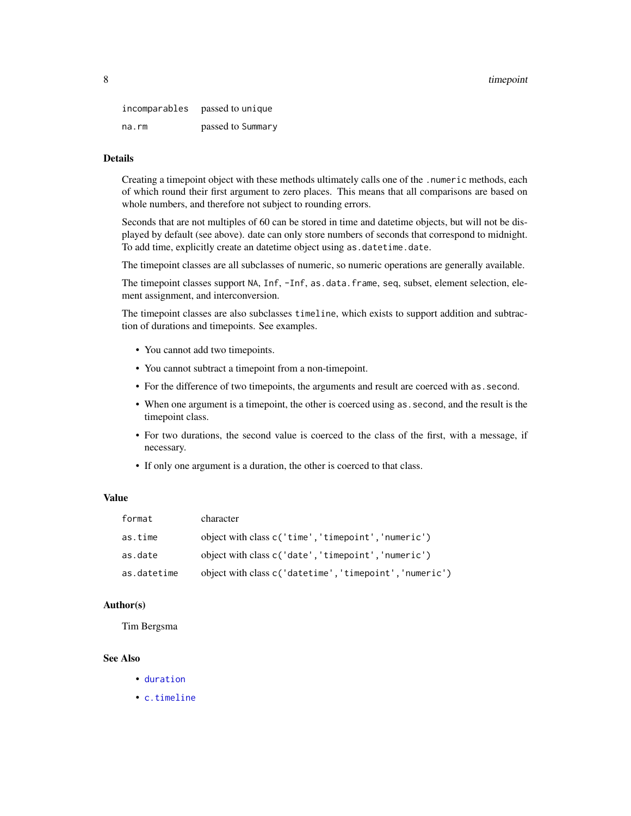#### <span id="page-7-0"></span>8 timepoint that the contract of the contract of the contract of the contract of the contract of the contract of the contract of the contract of the contract of the contract of the contract of the contract of the contract

incomparables passed to unique na.rm passed to Summary

#### Details

Creating a timepoint object with these methods ultimately calls one of the .numeric methods, each of which round their first argument to zero places. This means that all comparisons are based on whole numbers, and therefore not subject to rounding errors.

Seconds that are not multiples of 60 can be stored in time and datetime objects, but will not be displayed by default (see above). date can only store numbers of seconds that correspond to midnight. To add time, explicitly create an datetime object using as.datetime.date.

The timepoint classes are all subclasses of numeric, so numeric operations are generally available.

The timepoint classes support NA, Inf, -Inf, as.data.frame, seq, subset, element selection, element assignment, and interconversion.

The timepoint classes are also subclasses timeline, which exists to support addition and subtraction of durations and timepoints. See examples.

- You cannot add two timepoints.
- You cannot subtract a timepoint from a non-timepoint.
- For the difference of two timepoints, the arguments and result are coerced with as.second.
- When one argument is a timepoint, the other is coerced using as.second, and the result is the timepoint class.
- For two durations, the second value is coerced to the class of the first, with a message, if necessary.
- If only one argument is a duration, the other is coerced to that class.

#### Value

| format      | character                                               |
|-------------|---------------------------------------------------------|
| as.time     | object with class c('time', 'timepoint', 'numeric')     |
| as.date     | object with class c('date', 'timepoint', 'numeric')     |
| as.datetime | object with class c('datetime', 'timepoint', 'numeric') |

#### Author(s)

Tim Bergsma

#### See Also

- [duration](#page-1-1)
- [c.timeline](#page-2-1)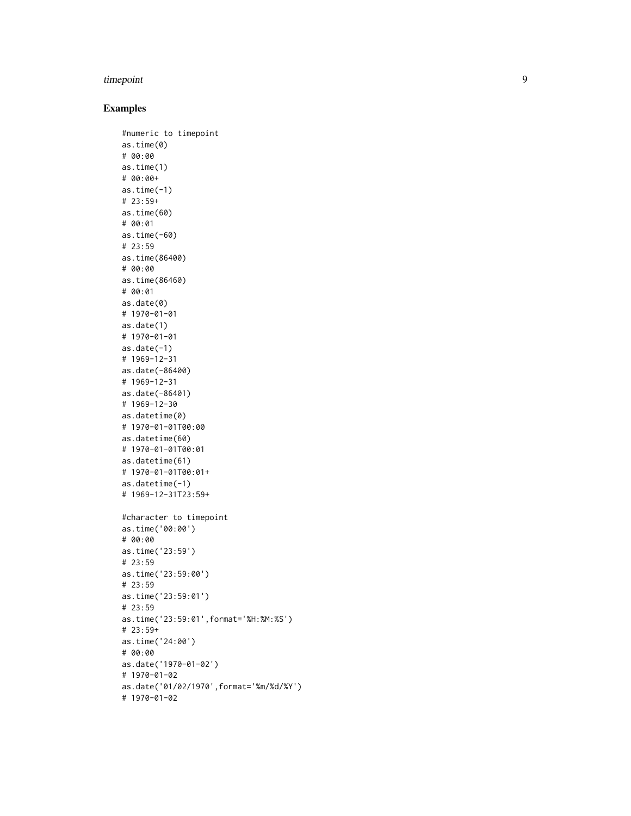#### timepoint

#### Examples

```
#numeric to timepoint
as.time(0)
# 00:00
as.time(1)
# 00:00+
as.time(-1)# 23:59+
as.time(60)
# 00:01
as.time(-60)
# 23:59
as.time(86400)
# 00:00
as.time(86460)
# 00:01
as.date(0)
# 1970-01-01
as.date(1)
# 1970-01-01
as.data(-1)# 1969-12-31
as.date(-86400)
# 1969-12-31
as.date(-86401)
# 1969-12-30
as.datetime(0)
# 1970-01-01T00:00
as.datetime(60)
# 1970-01-01T00:01
as.datetime(61)
# 1970-01-01T00:01+
as.datetime(-1)
# 1969-12-31T23:59+
#character to timepoint
as.time('00:00')
# 00:00
as.time('23:59')
# 23:59
as.time('23:59:00')
# 23:59
as.time('23:59:01')
# 23:59
as.time('23:59:01',format='%H:%M:%S')
# 23:59+
as.time('24:00')
# 00:00
as.date('1970-01-02')
# 1970-01-02
as.date('01/02/1970',format='%m/%d/%Y')
# 1970-01-02
```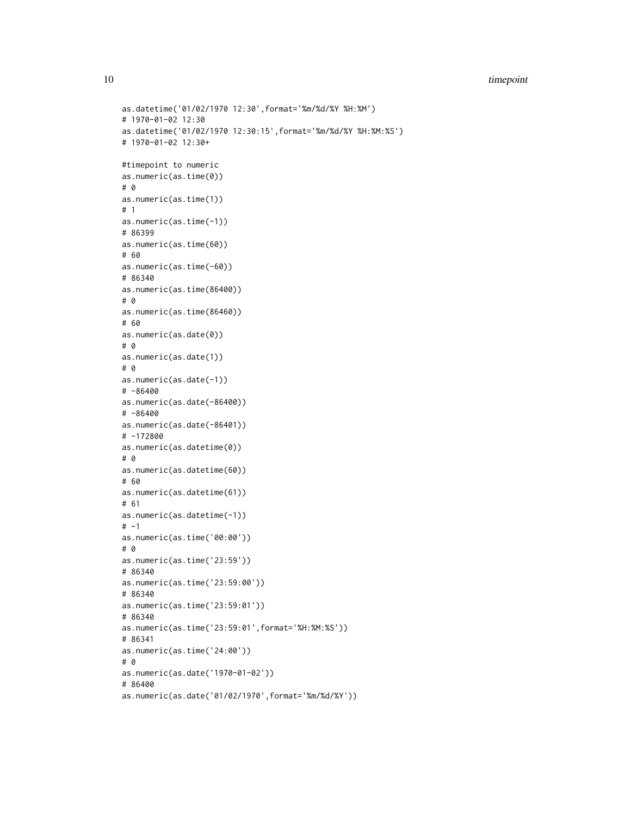10 timepoint that the contract of the contract of the contract of the contract of the contract of the contract of the contract of the contract of the contract of the contract of the contract of the contract of the contract

```
as.datetime('01/02/1970 12:30',format='%m/%d/%Y %H:%M')
# 1970-01-02 12:30
as.datetime('01/02/1970 12:30:15',format='%m/%d/%Y %H:%M:%S')
# 1970-01-02 12:30+
#timepoint to numeric
as.numeric(as.time(0))
# 0
as.numeric(as.time(1))
# 1
as.numeric(as.time(-1))
# 86399
as.numeric(as.time(60))
# 60
as.numeric(as.time(-60))
# 86340
as.numeric(as.time(86400))
# 0
as.numeric(as.time(86460))
# 60
as.numeric(as.date(0))
# 0
as.numeric(as.date(1))
# 0
as.numeric(as.date(-1))
# -86400
as.numeric(as.date(-86400))
# -86400
as.numeric(as.date(-86401))
# -172800
as.numeric(as.datetime(0))
# 0
as.numeric(as.datetime(60))
# 60
as.numeric(as.datetime(61))
# 61
as.numeric(as.datetime(-1))
# -1as.numeric(as.time('00:00'))
# 0
as.numeric(as.time('23:59'))
# 86340
as.numeric(as.time('23:59:00'))
# 86340
as.numeric(as.time('23:59:01'))
# 86340
as.numeric(as.time('23:59:01',format='%H:%M:%S'))
# 86341
as.numeric(as.time('24:00'))
# 0
as.numeric(as.date('1970-01-02'))
# 86400
as.numeric(as.date('01/02/1970',format='%m/%d/%Y'))
```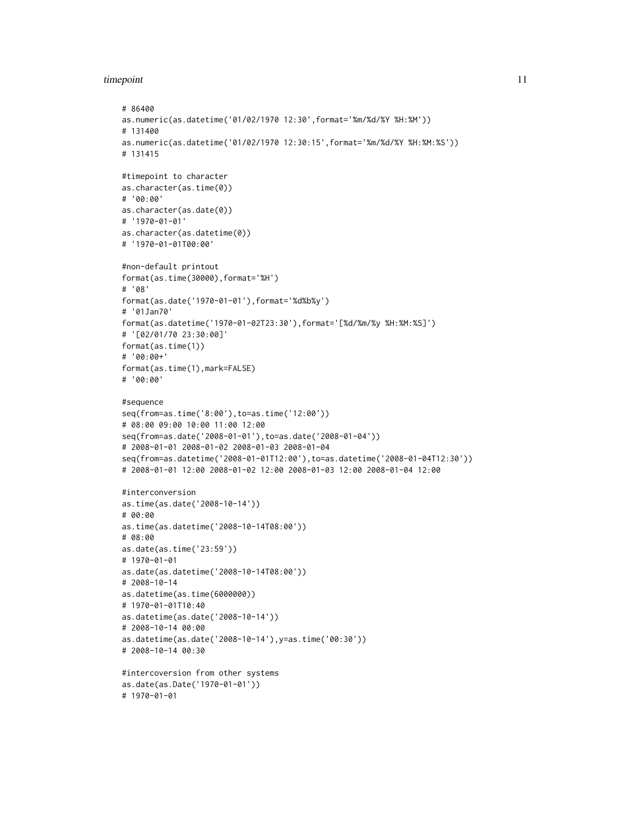#### timepoint 11

```
# 86400
as.numeric(as.datetime('01/02/1970 12:30',format='%m/%d/%Y %H:%M'))
# 131400
as.numeric(as.datetime('01/02/1970 12:30:15',format='%m/%d/%Y %H:%M:%S'))
# 131415
#timepoint to character
as.character(as.time(0))
# '00:00'
as.character(as.date(0))
# '1970-01-01'
as.character(as.datetime(0))
# '1970-01-01T00:00'
#non-default printout
format(as.time(30000),format='%H')
# '08'
format(as.date('1970-01-01'),format='%d%b%y')
# '01Jan70'
format(as.datetime('1970-01-02T23:30'),format='[%d/%m/%y %H:%M:%S]')
# '[02/01/70 23:30:00]'
format(as.time(1))
# '00:00+'
format(as.time(1),mark=FALSE)
# '00:00'
#sequence
seq(from=as.time('8:00'),to=as.time('12:00'))
# 08:00 09:00 10:00 11:00 12:00
seq(from=as.date('2008-01-01'),to=as.date('2008-01-04'))
# 2008-01-01 2008-01-02 2008-01-03 2008-01-04
seq(from=as.datetime('2008-01-01T12:00'),to=as.datetime('2008-01-04T12:30'))
# 2008-01-01 12:00 2008-01-02 12:00 2008-01-03 12:00 2008-01-04 12:00
#interconversion
as.time(as.date('2008-10-14'))
# 00:00
as.time(as.datetime('2008-10-14T08:00'))
# 08:00
as.date(as.time('23:59'))
# 1970-01-01
as.date(as.datetime('2008-10-14T08:00'))
# 2008-10-14
as.datetime(as.time(6000000))
# 1970-01-01T10:40
as.datetime(as.date('2008-10-14'))
# 2008-10-14 00:00
as.datetime(as.date('2008-10-14'),y=as.time('00:30'))
# 2008-10-14 00:30
#intercoversion from other systems
as.date(as.Date('1970-01-01'))
# 1970-01-01
```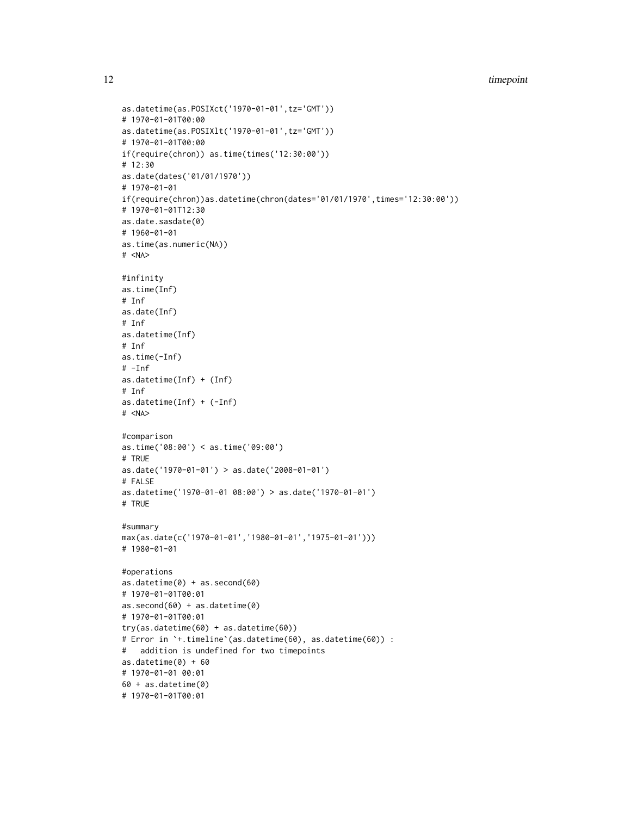```
as.datetime(as.POSIXct('1970-01-01',tz='GMT'))
# 1970-01-01T00:00
as.datetime(as.POSIXlt('1970-01-01',tz='GMT'))
# 1970-01-01T00:00
if(require(chron)) as.time(times('12:30:00'))
# 12:30
as.date(dates('01/01/1970'))
# 1970-01-01
if(require(chron))as.datetime(chron(dates='01/01/1970',times='12:30:00'))
# 1970-01-01T12:30
as.date.sasdate(0)
# 1960-01-01
as.time(as.numeric(NA))
# <NA>
#infinity
as.time(Inf)
# Inf
as.date(Inf)
# Inf
as.datetime(Inf)
# Inf
as.time(-Inf)
# -Inf
as.datetime(Inf) + (Inf)
# Inf
as.datetime(Inf) + (-Inf)
# <NA>
#comparison
as.time('08:00') < as.time('09:00')
# TRUE
as.date('1970-01-01') > as.date('2008-01-01')
# FALSE
as.datetime('1970-01-01 08:00') > as.date('1970-01-01')
# TRUE
#summary
max(as.date(c('1970-01-01','1980-01-01','1975-01-01')))
# 1980-01-01
#operations
as.datetime(0) + as.second(60)
# 1970-01-01T00:01
as.second(60) + as.datetime(0)
# 1970-01-01T00:01
try(as.datetime(60) + as.datetime(60))
# Error in `+.timeline`(as.datetime(60), as.datetime(60)) :
# addition is undefined for two timepoints
as.datetime(0) + 60# 1970-01-01 00:01
60 + as.datetime(0)
# 1970-01-01T00:01
```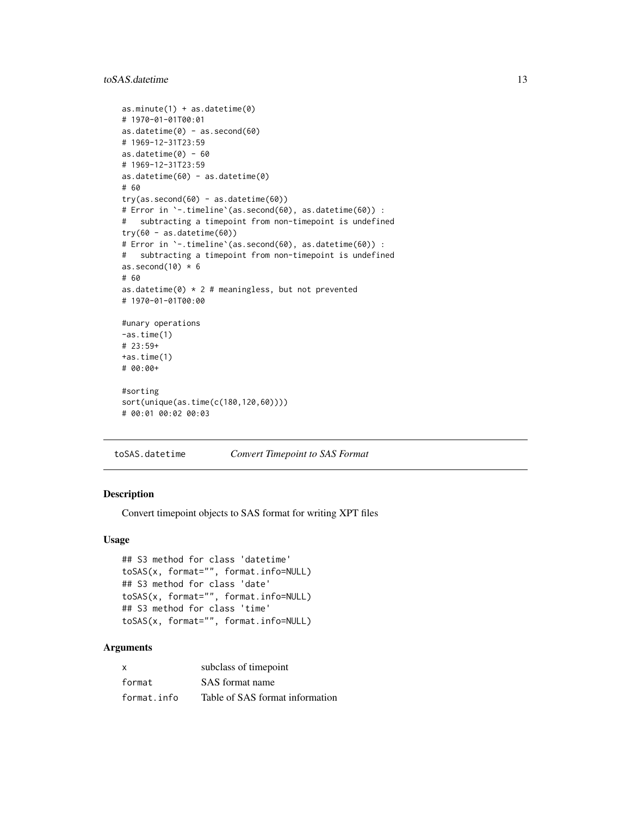#### <span id="page-12-0"></span>to SAS. date time 13

```
as.minute(1) + as.datetime(0)# 1970-01-01T00:01
as.datetime(0) - as.second(60)# 1969-12-31T23:59
as.datetime(0) - 60
# 1969-12-31T23:59
as.datetime(60) - as.datetime(0)
# 60
try(as.second(60) - as.datetime(60))# Error in `-.timeline`(as.second(60), as.datetime(60)) :
# subtracting a timepoint from non-timepoint is undefined
try(60 - as.datetime(60))# Error in `-.timeline`(as.second(60), as.datetime(60)) :
# subtracting a timepoint from non-timepoint is undefined
as.second(10) * 6# 60
as.datetime(0) * 2 # meaningless, but not prevented
# 1970-01-01T00:00
#unary operations
-as.time(1)
# 23:59+
+as.time(1)
# 00:00+
#sorting
sort(unique(as.time(c(180,120,60))))
# 00:01 00:02 00:03
```
toSAS.datetime *Convert Timepoint to SAS Format*

#### Description

Convert timepoint objects to SAS format for writing XPT files

#### Usage

```
## S3 method for class 'datetime'
toSAS(x, format="", format.info=NULL)
## S3 method for class 'date'
toSAS(x, format="", format.info=NULL)
## S3 method for class 'time'
toSAS(x, format="", format.info=NULL)
```
#### Arguments

| $\times$    | subclass of timepoint           |
|-------------|---------------------------------|
| format      | SAS format name                 |
| format.info | Table of SAS format information |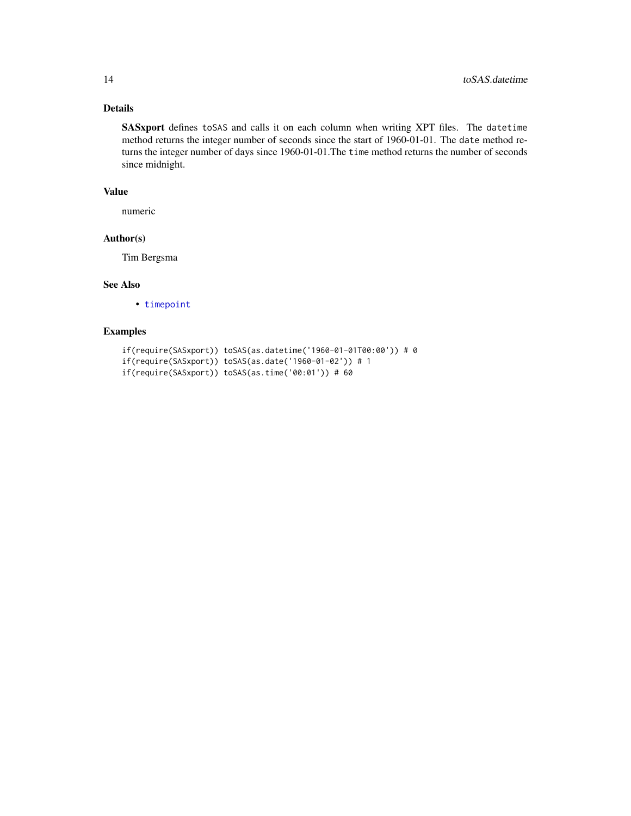#### Details

SASxport defines toSAS and calls it on each column when writing XPT files. The datetime method returns the integer number of seconds since the start of 1960-01-01. The date method returns the integer number of days since 1960-01-01.The time method returns the number of seconds since midnight.

#### Value

numeric

#### Author(s)

Tim Bergsma

#### See Also

• [timepoint](#page-5-2)

#### Examples

```
if(require(SASxport)) toSAS(as.datetime('1960-01-01T00:00')) # 0
if(require(SASxport)) toSAS(as.date('1960-01-02')) # 1
if(require(SASxport)) toSAS(as.time('00:01')) # 60
```
<span id="page-13-0"></span>